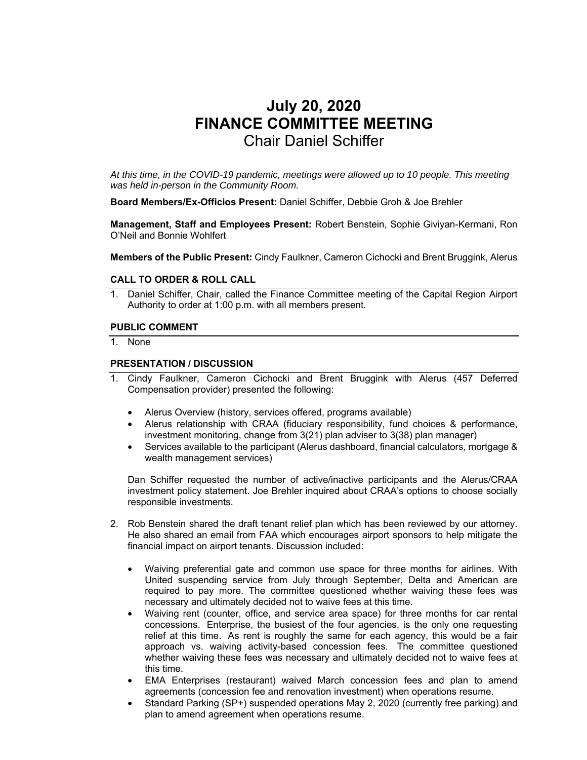# **July 20, 2020 FINANCE COMMITTEE MEETING**  Chair Daniel Schiffer

*At this time, in the COVID-19 pandemic, meetings were allowed up to 10 people. This meeting was held in-person in the Community Room.* 

**Board Members/Ex-Officios Present:** Daniel Schiffer, Debbie Groh & Joe Brehler

**Management, Staff and Employees Present:** Robert Benstein, Sophie Giviyan-Kermani, Ron O'Neil and Bonnie Wohlfert

**Members of the Public Present:** Cindy Faulkner, Cameron Cichocki and Brent Bruggink, Alerus

#### **CALL TO ORDER & ROLL CALL**

1. Daniel Schiffer, Chair, called the Finance Committee meeting of the Capital Region Airport Authority to order at 1:00 p.m. with all members present.

#### **PUBLIC COMMENT**

1. None

# **PRESENTATION / DISCUSSION**

- 1. Cindy Faulkner, Cameron Cichocki and Brent Bruggink with Alerus (457 Deferred Compensation provider) presented the following:
	- Alerus Overview (history, services offered, programs available)
	- Alerus relationship with CRAA (fiduciary responsibility, fund choices & performance, investment monitoring, change from 3(21) plan adviser to 3(38) plan manager)
	- Services available to the participant (Alerus dashboard, financial calculators, mortgage & wealth management services)

Dan Schiffer requested the number of active/inactive participants and the Alerus/CRAA investment policy statement. Joe Brehler inquired about CRAA's options to choose socially responsible investments.

- 2. Rob Benstein shared the draft tenant relief plan which has been reviewed by our attorney. He also shared an email from FAA which encourages airport sponsors to help mitigate the financial impact on airport tenants. Discussion included:
	- Waiving preferential gate and common use space for three months for airlines. With United suspending service from July through September, Delta and American are required to pay more. The committee questioned whether waiving these fees was necessary and ultimately decided not to waive fees at this time.
	- Waiving rent (counter, office, and service area space) for three months for car rental concessions. Enterprise, the busiest of the four agencies, is the only one requesting relief at this time. As rent is roughly the same for each agency, this would be a fair approach vs. waiving activity-based concession fees. The committee questioned whether waiving these fees was necessary and ultimately decided not to waive fees at this time.
	- EMA Enterprises (restaurant) waived March concession fees and plan to amend agreements (concession fee and renovation investment) when operations resume.
	- Standard Parking (SP+) suspended operations May 2, 2020 (currently free parking) and plan to amend agreement when operations resume.